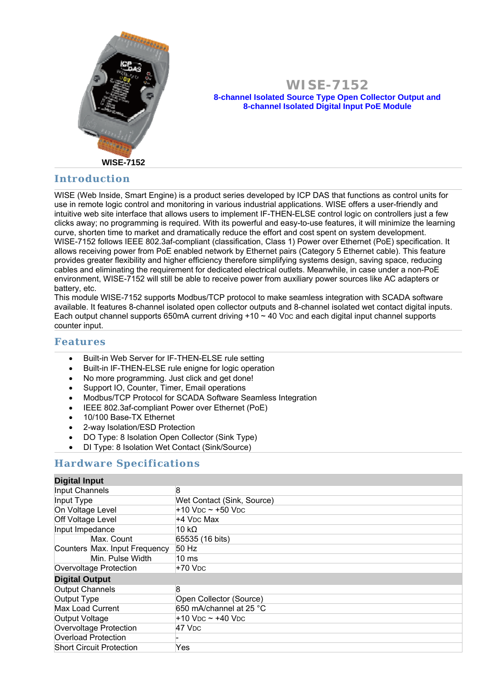

#### **WISE-7152 8-channel Isolated Source Type Open Collector Output and 8-channel Isolated Digital Input PoE Module**

## **Introduction**

WISE (Web Inside, Smart Engine) is a product series developed by ICP DAS that functions as control units for use in remote logic control and monitoring in various industrial applications. WISE offers a user-friendly and intuitive web site interface that allows users to implement IF-THEN-ELSE control logic on controllers just a few clicks away; no programming is required. With its powerful and easy-to-use features, it will minimize the learning curve, shorten time to market and dramatically reduce the effort and cost spent on system development. WISE-7152 follows IEEE 802.3af-compliant (classification, Class 1) Power over Ethernet (PoE) specification. It allows receiving power from PoE enabled network by Ethernet pairs (Category 5 Ethernet cable). This feature provides greater flexibility and higher efficiency therefore simplifying systems design, saving space, reducing cables and eliminating the requirement for dedicated electrical outlets. Meanwhile, in case under a non-PoE environment, WISE-7152 will still be able to receive power from auxiliary power sources like AC adapters or battery, etc.

This module WISE-7152 supports Modbus/TCP protocol to make seamless integration with SCADA software available. It features 8-channel isolated open collector outputs and 8-channel isolated wet contact digital inputs. Each output channel supports 650mA current driving  $+10 \sim 40$  V<sub>DC</sub> and each digital input channel supports counter input.

#### **Features**

- Built-in Web Server for IF-THEN-ELSE rule setting
- Built-in IF-THEN-ELSE rule enigne for logic operation
- No more programming. Just click and get done!
- Support IO, Counter, Timer, Email operations
- Modbus/TCP Protocol for SCADA Software Seamless Integration
- IEEE 802.3af-compliant Power over Ethernet (PoE)
- 10/100 Base-TX Ethernet
- 2-way Isolation/ESD Protection
- DO Type: 8 Isolation Open Collector (Sink Type)
- DI Type: 8 Isolation Wet Contact (Sink/Source)

#### **Hardware Specifications**

| <b>Digital Input</b>            |                               |                                                  |
|---------------------------------|-------------------------------|--------------------------------------------------|
| Input Channels                  |                               | 8                                                |
| Input Type                      |                               | Wet Contact (Sink, Source)                       |
| On Voltage Level                |                               | $+10$ V <sub>DC</sub> $\sim$ +50 V <sub>DC</sub> |
| Off Voltage Level               |                               | +4 V <sub>DC</sub> Max                           |
| Input Impedance                 |                               | 10 kΩ                                            |
|                                 | Max. Count                    | 65535 (16 bits)                                  |
|                                 | Counters Max. Input Frequency | 50 Hz                                            |
|                                 | Min. Pulse Width              | 10 ms                                            |
| Overvoltage Protection          |                               | $+70$ V <sub>DC</sub>                            |
| <b>Digital Output</b>           |                               |                                                  |
| Output Channels                 |                               | 8                                                |
| Output Type                     |                               | Open Collector (Source)                          |
| Max Load Current                |                               | 650 mA/channel at 25 °C                          |
| Output Voltage                  |                               | +10 Vpc ~ +40 Vpc                                |
| Overvoltage Protection          |                               | 47 V <sub>DC</sub>                               |
| Overload Protection             |                               |                                                  |
| <b>Short Circuit Protection</b> |                               | Yes                                              |